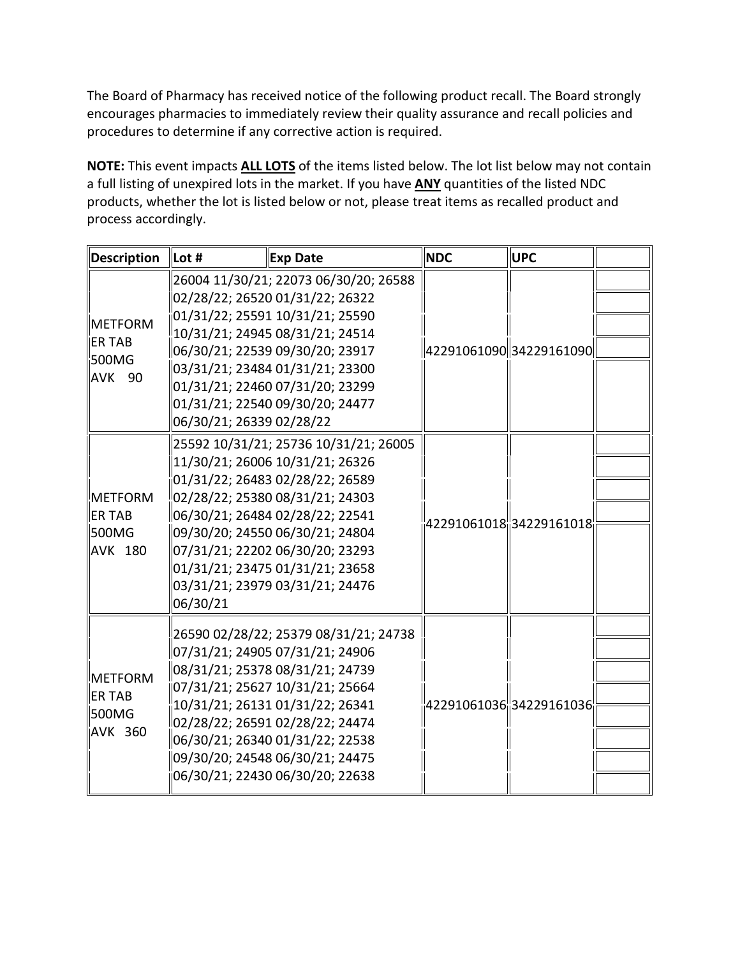The Board of Pharmacy has received notice of the following product recall. The Board strongly encourages pharmacies to immediately review their quality assurance and recall policies and procedures to determine if any corrective action is required.

 **NOTE:** This event impacts **ALL LOTS** of the items listed below. The lot list below may not contain products, whether the lot is listed below or not, please treat items as recalled product and a full listing of unexpired lots in the market. If you have **ANY** quantities of the listed NDC process accordingly.

| Description                                                  | Lot #                    | <b>Exp Date</b>                                                                                                                                                                                                                                                                                                               | <b>NDC</b> | <b>UPC</b>                             |  |
|--------------------------------------------------------------|--------------------------|-------------------------------------------------------------------------------------------------------------------------------------------------------------------------------------------------------------------------------------------------------------------------------------------------------------------------------|------------|----------------------------------------|--|
| <b>METFORM</b><br><b>ER TAB</b><br>500MG<br><b>AVK</b><br>90 | 06/30/21; 26339 02/28/22 | 26004 11/30/21; 22073 06/30/20; 26588<br>02/28/22; 26520 01/31/22; 26322<br>01/31/22; 25591 10/31/21; 25590<br>10/31/21; 24945 08/31/21; 24514<br>06/30/21; 22539 09/30/20; 23917<br>03/31/21; 23484 01/31/21; 23300<br>01/31/21; 22460 07/31/20; 23299<br>01/31/21; 22540 09/30/20; 24477                                    |            | 42291061090 34229161090                |  |
| METFORM<br><b>ER TAB</b><br>S00MG<br><b>AVK 180</b>          | 06/30/21                 | 25592 10/31/21; 25736 10/31/21; 26005<br>11/30/21; 26006 10/31/21; 26326<br>01/31/22; 26483 02/28/22; 26589<br>02/28/22; 25380 08/31/21; 24303<br>06/30/21; 26484 02/28/22; 22541<br>09/30/20; 24550 06/30/21; 24804<br>07/31/21; 22202 06/30/20; 23293<br>01/31/21; 23475 01/31/21; 23658<br>03/31/21; 23979 03/31/21; 24476 |            | 42291061018 <mark> </mark> 34229161018 |  |
| <b>METFORM</b><br><b>ER TAB</b><br>500MG<br><b>AVK 360</b>   |                          | 26590 02/28/22; 25379 08/31/21; 24738<br>07/31/21; 24905 07/31/21; 24906<br>08/31/21; 25378 08/31/21; 24739<br>07/31/21; 25627 10/31/21; 25664<br>10/31/21; 26131 01/31/22; 26341<br>02/28/22; 26591 02/28/22; 24474<br>06/30/21; 26340 01/31/22; 22538<br>09/30/20; 24548 06/30/21; 24475<br>06/30/21; 22430 06/30/20; 22638 |            | 42291061036 34229161036                |  |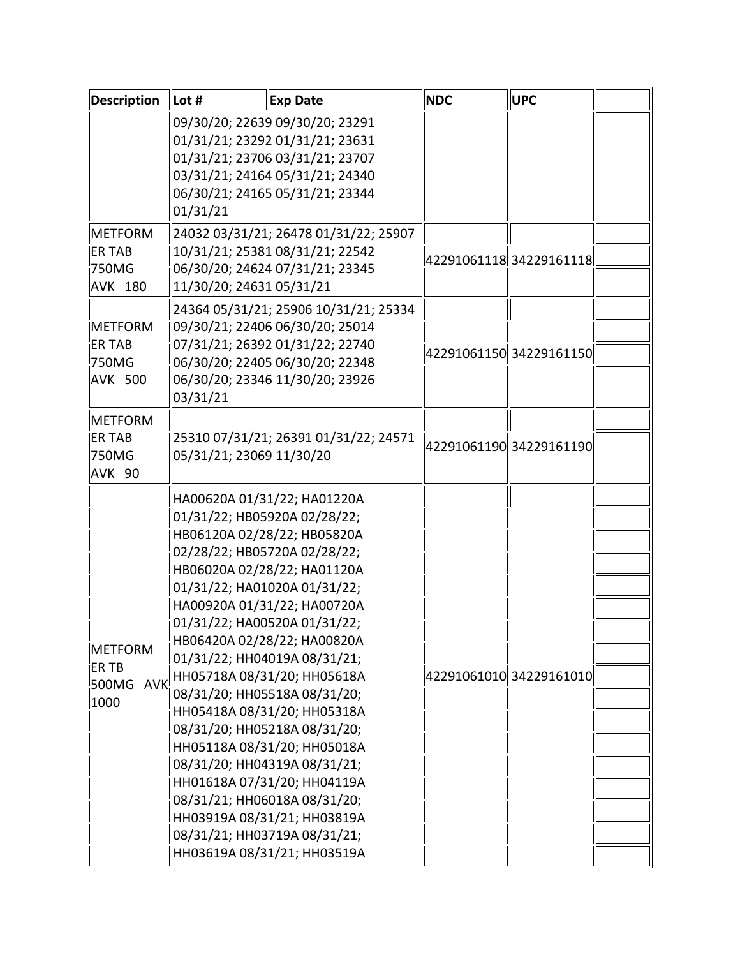| <b>Description</b>  | Lot #                                                                                       | <b>Exp Date</b>                       | <b>NDC</b> | <b>UPC</b>              |  |
|---------------------|---------------------------------------------------------------------------------------------|---------------------------------------|------------|-------------------------|--|
|                     |                                                                                             | 09/30/20; 22639 09/30/20; 23291       |            |                         |  |
|                     |                                                                                             | 01/31/21; 23292 01/31/21; 23631       |            |                         |  |
|                     |                                                                                             | 01/31/21; 23706 03/31/21; 23707       |            |                         |  |
|                     |                                                                                             | 03/31/21; 24164 05/31/21; 24340       |            |                         |  |
|                     |                                                                                             | 06/30/21; 24165 05/31/21; 23344       |            |                         |  |
|                     | 01/31/21                                                                                    |                                       |            |                         |  |
| <b>METFORM</b>      |                                                                                             | 24032 03/31/21; 26478 01/31/22; 25907 |            |                         |  |
| <b>ER TAB</b>       |                                                                                             | 10/31/21; 25381 08/31/21; 22542       |            | 4229106111834229161118  |  |
| <b>750MG</b>        |                                                                                             | 06/30/20; 24624 07/31/21; 23345       |            |                         |  |
| AVK 180             | 11/30/20; 24631 05/31/21                                                                    |                                       |            |                         |  |
|                     |                                                                                             | 24364 05/31/21; 25906 10/31/21; 25334 |            |                         |  |
| <b>IMETFORM</b>     |                                                                                             | 09/30/21; 22406 06/30/20; 25014       |            |                         |  |
| <b>ER TAB</b>       |                                                                                             | 07/31/21; 26392 01/31/22; 22740       |            |                         |  |
| <b>750MG</b>        |                                                                                             | 06/30/20; 22405 06/30/20; 22348       |            | 42291061150 34229161150 |  |
| <b>AVK 500</b>      |                                                                                             | 06/30/20; 23346 11/30/20; 23926       |            |                         |  |
|                     | 03/31/21                                                                                    |                                       |            |                         |  |
| <b>IMETFORM</b>     |                                                                                             |                                       |            |                         |  |
| <b>IER TAB</b>      |                                                                                             | 25310 07/31/21; 26391 01/31/22; 24571 |            |                         |  |
| 750MG               | 05/31/21; 23069 11/30/20                                                                    |                                       |            | 4229106119034229161190  |  |
| AVK 90              |                                                                                             |                                       |            |                         |  |
|                     |                                                                                             | HA00620A 01/31/22; HA01220A           |            |                         |  |
|                     | 01/31/22; HB05920A 02/28/22;                                                                |                                       |            |                         |  |
|                     | HB06120A 02/28/22; HB05820A                                                                 |                                       |            |                         |  |
|                     |                                                                                             | 02/28/22; HB05720A 02/28/22;          |            |                         |  |
|                     |                                                                                             | HB06020A 02/28/22; HA01120A           |            |                         |  |
| METFORM             | 01/31/22; HA01020A 01/31/22;                                                                |                                       |            |                         |  |
|                     |                                                                                             | HA00920A 01/31/22; HA00720A           |            |                         |  |
|                     |                                                                                             | 01/31/22; HA00520A 01/31/22;          |            |                         |  |
|                     |                                                                                             | HB06420A 02/28/22; HA00820A           |            | 42291061010 34229161010 |  |
|                     |                                                                                             | 01/31/22; HH04019A 08/31/21;          |            |                         |  |
| <b>ERTB</b>         |                                                                                             | HH05718A 08/31/20; HH05618A           |            |                         |  |
| <b>AVK</b><br>500MG | 08/31/20; HH05518A 08/31/20;<br>HH05418A 08/31/20; HH05318A<br>08/31/20; HH05218A 08/31/20; |                                       |            |                         |  |
| 1000                |                                                                                             |                                       |            |                         |  |
|                     |                                                                                             |                                       |            |                         |  |
|                     |                                                                                             | HH05118A 08/31/20; HH05018A           |            |                         |  |
|                     |                                                                                             | 08/31/20; HH04319A 08/31/21;          |            |                         |  |
|                     |                                                                                             | HH01618A 07/31/20; HH04119A           |            |                         |  |
|                     |                                                                                             | 08/31/21; HH06018A 08/31/20;          |            |                         |  |
|                     |                                                                                             | НН03919А 08/31/21; НН03819А           |            |                         |  |
|                     |                                                                                             | 08/31/21; HH03719A 08/31/21;          |            |                         |  |
|                     |                                                                                             |                                       |            |                         |  |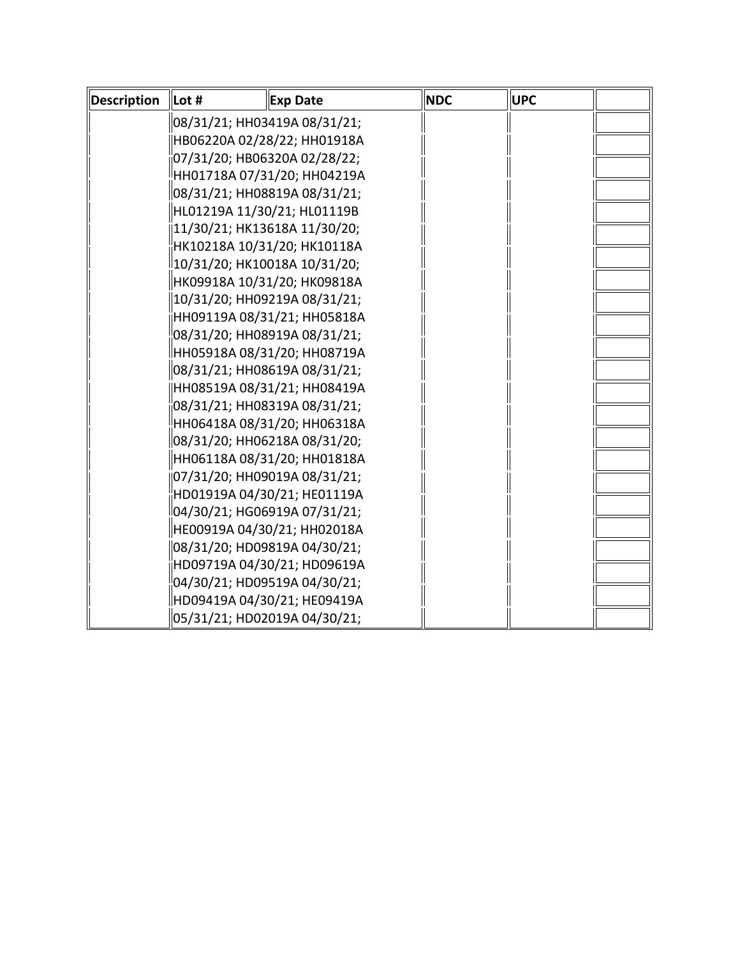| <b>Description</b> | Lot #                          | <b>Exp Date</b>             | <b>NDC</b> | <b>UPC</b> |  |
|--------------------|--------------------------------|-----------------------------|------------|------------|--|
|                    | 08/31/21; HH03419A 08/31/21;   |                             |            |            |  |
|                    | HB06220A 02/28/22; HH01918A    |                             |            |            |  |
|                    | 07/31/20; HB06320A 02/28/22;   |                             |            |            |  |
|                    |                                | HH01718A 07/31/20; HH04219A |            |            |  |
|                    | 08/31/21; HH08819A 08/31/21;   |                             |            |            |  |
|                    | HL01219A 11/30/21; HL01119B    |                             |            |            |  |
|                    | 11/30/21; HK13618A 11/30/20;   |                             |            |            |  |
|                    | HK10218A 10/31/20; HK10118A    |                             |            |            |  |
|                    | 10/31/20; HK10018A 10/31/20;   |                             |            |            |  |
|                    | HK09918A 10/31/20; HK09818A    |                             |            |            |  |
|                    | 10/31/20; HH09219A 08/31/21;   |                             |            |            |  |
|                    |                                | HH09119A 08/31/21; HH05818A |            |            |  |
|                    | 08/31/20; HH08919A 08/31/21;   |                             |            |            |  |
|                    | HH05918A 08/31/20; HH08719A    |                             |            |            |  |
|                    | 08/31/21; HH08619A 08/31/21;   |                             |            |            |  |
|                    |                                | HH08519A 08/31/21; HH08419A |            |            |  |
|                    | 08/31/21; HH08319A 08/31/21;   |                             |            |            |  |
|                    |                                | HH06418A 08/31/20; HH06318A |            |            |  |
|                    | 08/31/20; HH06218A 08/31/20;   |                             |            |            |  |
|                    |                                | HH06118A 08/31/20; HH01818A |            |            |  |
|                    | 07/31/20; HH09019A 08/31/21;   |                             |            |            |  |
|                    |                                | HD01919A 04/30/21; HE01119A |            |            |  |
|                    | ll04/30/21; HG06919A 07/31/21; |                             |            |            |  |
|                    | HE00919A 04/30/21; HH02018A    |                             |            |            |  |
|                    | 08/31/20; HD09819A 04/30/21;   |                             |            |            |  |
|                    |                                | HD09719A 04/30/21; HD09619A |            |            |  |
|                    | 04/30/21; HD09519A 04/30/21;   |                             |            |            |  |
|                    | HD09419A 04/30/21; HE09419A    |                             |            |            |  |
|                    | 05/31/21; HD02019A 04/30/21;   |                             |            |            |  |